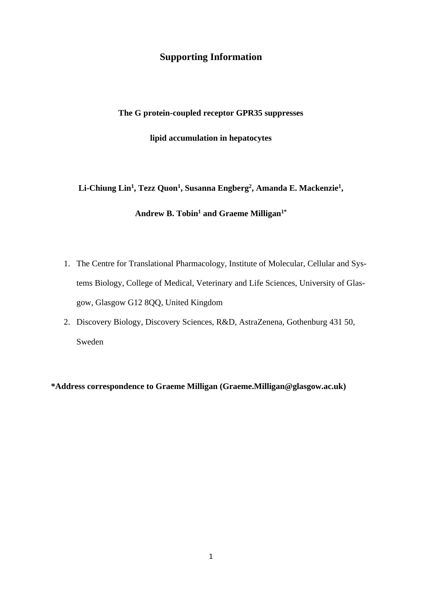## **Supporting Information**

#### **The G protein-coupled receptor GPR35 suppresses**

**lipid accumulation in hepatocytes**

**Li-Chiung Lin<sup>1</sup> , Tezz Quon<sup>1</sup> , Susanna Engberg<sup>2</sup> , Amanda E. Mackenzie<sup>1</sup> ,** 

# **Andrew B. Tobin<sup>1</sup> and Graeme Milligan1\***

- 1. The Centre for Translational Pharmacology, Institute of Molecular, Cellular and Systems Biology, College of Medical, Veterinary and Life Sciences, University of Glasgow, Glasgow G12 8QQ, United Kingdom
- 2. Discovery Biology, Discovery Sciences, R&D, AstraZenena, Gothenburg 431 50, Sweden

**\*Address correspondence to Graeme Milligan (Graeme.Milligan@glasgow.ac.uk)**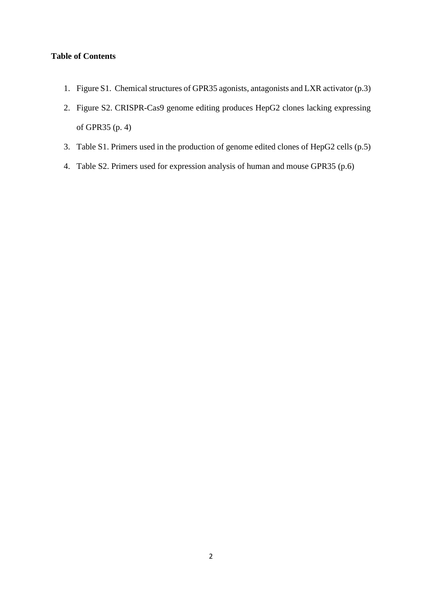#### **Table of Contents**

- 1. Figure S1. Chemical structures of GPR35 agonists, antagonists and LXR activator (p.3)
- 2. Figure S2. CRISPR-Cas9 genome editing produces HepG2 clones lacking expressing of GPR35 (p. 4)
- 3. Table S1. Primers used in the production of genome edited clones of HepG2 cells (p.5)
- 4. Table S2. Primers used for expression analysis of human and mouse GPR35 (p.6)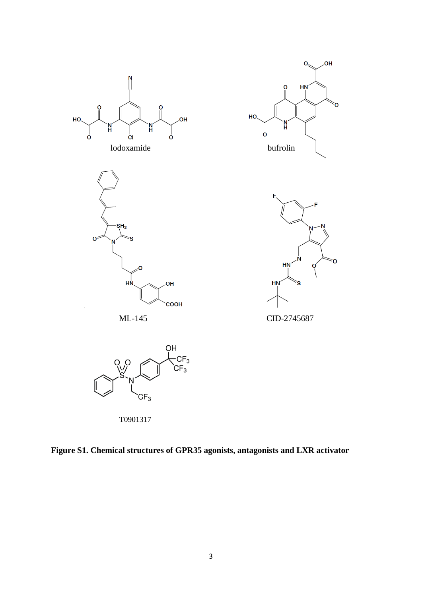



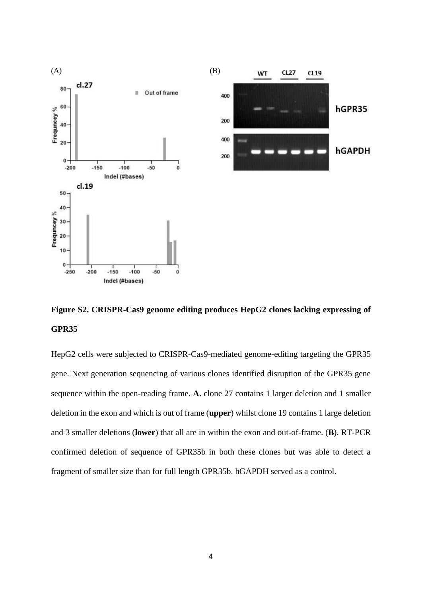

**Figure S2. CRISPR-Cas9 genome editing produces HepG2 clones lacking expressing of GPR35**

HepG2 cells were subjected to CRISPR-Cas9-mediated genome-editing targeting the GPR35 gene. Next generation sequencing of various clones identified disruption of the GPR35 gene sequence within the open-reading frame. **A.** clone 27 contains 1 larger deletion and 1 smaller deletion in the exon and which is out of frame (**upper**) whilst clone 19 contains 1 large deletion and 3 smaller deletions (**lower**) that all are in within the exon and out-of-frame. (**B**). RT-PCR confirmed deletion of sequence of GPR35b in both these clones but was able to detect a fragment of smaller size than for full length GPR35b. hGAPDH served as a control.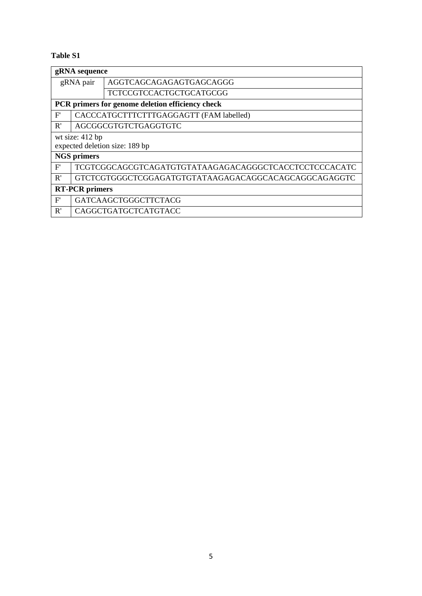## **Table S1**

| gRNA sequence                                    |                      |                                                       |  |
|--------------------------------------------------|----------------------|-------------------------------------------------------|--|
| gRNA pair                                        |                      | AGGTCAGCAGAGAGTGAGCAGGG                               |  |
|                                                  |                      | TCTCCGTCCACTGCTGCATGCGG                               |  |
| PCR primers for genome deletion efficiency check |                      |                                                       |  |
| F'                                               |                      | CACCCATGCTTTCTTTGAGGAGTT (FAM labelled)               |  |
| R'                                               | AGCGGCGTGTCTGAGGTGTC |                                                       |  |
| wt size: 412 bp                                  |                      |                                                       |  |
| expected deletion size: 189 bp                   |                      |                                                       |  |
| <b>NGS</b> primers                               |                      |                                                       |  |
| F'                                               |                      | TCGTCGGCAGCGTCAGATGTGTATAAGAGACAGGGCTCACCTCCTCCCACATC |  |
| R'                                               |                      |                                                       |  |
| <b>RT-PCR</b> primers                            |                      |                                                       |  |
| F'                                               |                      | <b>GATCAAGCTGGGCTTCTACG</b>                           |  |
| R'                                               |                      | CAGGCTGATGCTCATGTACC                                  |  |